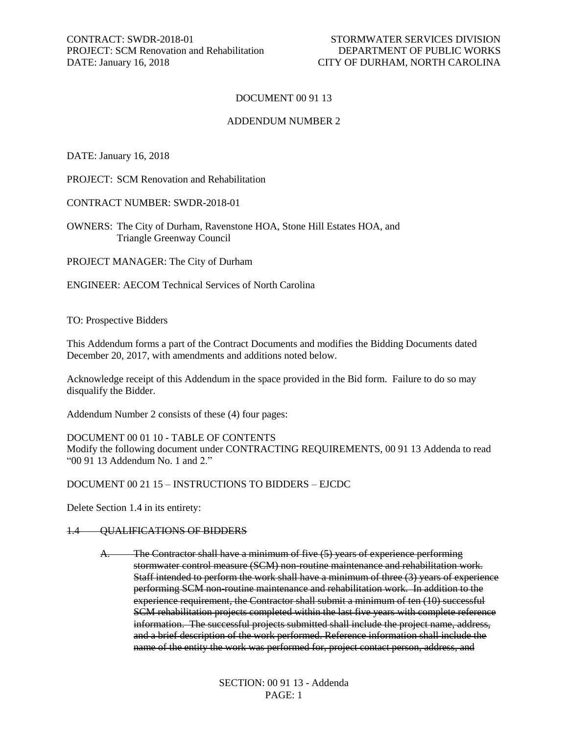## DOCUMENT 00 91 13

### ADDENDUM NUMBER 2

DATE: January 16, 2018

PROJECT: SCM Renovation and Rehabilitation

CONTRACT NUMBER: SWDR-2018-01

OWNERS: The City of Durham, Ravenstone HOA, Stone Hill Estates HOA, and Triangle Greenway Council

PROJECT MANAGER: The City of Durham

ENGINEER: AECOM Technical Services of North Carolina

TO: Prospective Bidders

This Addendum forms a part of the Contract Documents and modifies the Bidding Documents dated December 20, 2017, with amendments and additions noted below.

Acknowledge receipt of this Addendum in the space provided in the Bid form. Failure to do so may disqualify the Bidder.

Addendum Number 2 consists of these (4) four pages:

DOCUMENT 00 01 10 - TABLE OF CONTENTS

Modify the following document under CONTRACTING REQUIREMENTS, 00 91 13 Addenda to read "00 91 13 Addendum No. 1 and 2."

DOCUMENT 00 21 15 – INSTRUCTIONS TO BIDDERS – EJCDC

Delete Section 1.4 in its entirety:

### 1.4 QUALIFICATIONS OF BIDDERS

A. The Contractor shall have a minimum of five (5) years of experience performing stormwater control measure (SCM) non-routine maintenance and rehabilitation work. Staff intended to perform the work shall have a minimum of three (3) years of experience performing SCM non-routine maintenance and rehabilitation work. In addition to the experience requirement, the Contractor shall submit a minimum of ten (10) successful SCM rehabilitation projects completed within the last five years with complete reference information. The successful projects submitted shall include the project name, address, and a brief description of the work performed. Reference information shall include the name of the entity the work was performed for, project contact person, address, and

> SECTION: 00 91 13 - Addenda PAGE: 1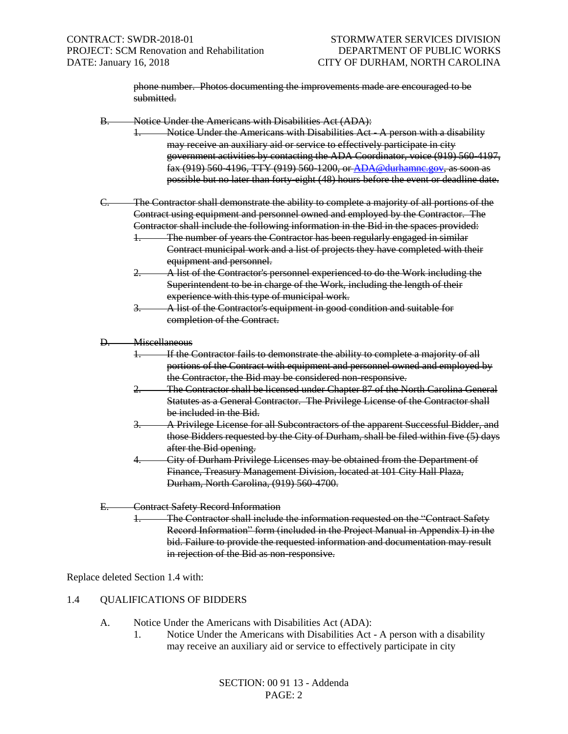phone number. Photos documenting the improvements made are encouraged to be submitted.

- B. Notice Under the Americans with Disabilities Act (ADA):
	- Notice Under the Americans with Disabilities Act A person with a disability may receive an auxiliary aid or service to effectively participate in city government activities by contacting the ADA Coordinator, voice (919) 560-4197, fax (919) 560-4196, TTY (919) 560-1200, or [ADA@durhamnc.gov,](mailto:ADA@durhamnc.gov) as soon as possible but no later than forty-eight (48) hours before the event or deadline date.
- C. The Contractor shall demonstrate the ability to complete a majority of all portions of the Contract using equipment and personnel owned and employed by the Contractor. The Contractor shall include the following information in the Bid in the spaces provided:
	- 1. The number of years the Contractor has been regularly engaged in similar Contract municipal work and a list of projects they have completed with their equipment and personnel.
	- 2. A list of the Contractor's personnel experienced to do the Work including the Superintendent to be in charge of the Work, including the length of their experience with this type of municipal work.
	- 3. A list of the Contractor's equipment in good condition and suitable for completion of the Contract.
- D. Miscellaneous
	- 1. If the Contractor fails to demonstrate the ability to complete a majority of all portions of the Contract with equipment and personnel owned and employed by the Contractor, the Bid may be considered non-responsive.
	- 2. The Contractor shall be licensed under Chapter 87 of the North Carolina General Statutes as a General Contractor. The Privilege License of the Contractor shall be included in the Bid.
	- 3. A Privilege License for all Subcontractors of the apparent Successful Bidder, and those Bidders requested by the City of Durham, shall be filed within five (5) days after the Bid opening.
	- 4. City of Durham Privilege Licenses may be obtained from the Department of Finance, Treasury Management Division, located at 101 City Hall Plaza, Durham, North Carolina, (919) 560-4700.
- E. Contract Safety Record Information
	- The Contractor shall include the information requested on the "Contract Safety Record Information" form (included in the Project Manual in Appendix I) in the bid. Failure to provide the requested information and documentation may result in rejection of the Bid as non-responsive.

Replace deleted Section 1.4 with:

- 1.4 QUALIFICATIONS OF BIDDERS
	- A. Notice Under the Americans with Disabilities Act (ADA):
		- 1. Notice Under the Americans with Disabilities Act A person with a disability may receive an auxiliary aid or service to effectively participate in city

SECTION: 00 91 13 - Addenda PAGE: 2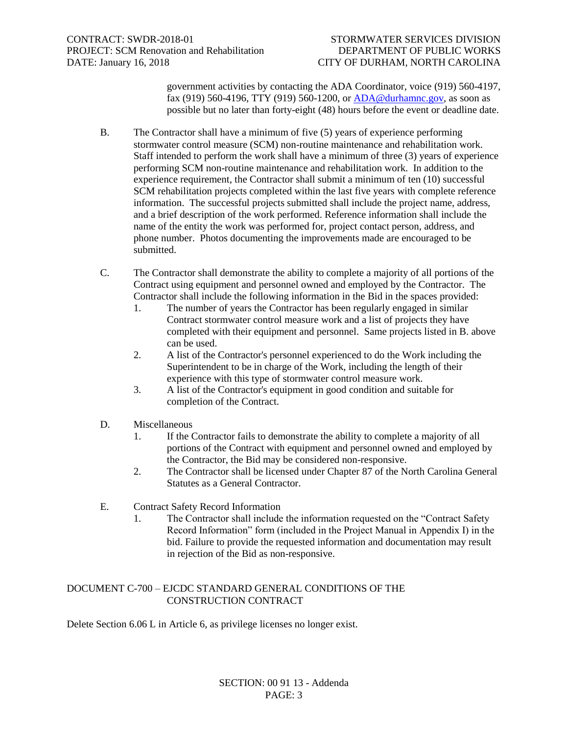government activities by contacting the ADA Coordinator, voice (919) 560-4197, fax (919) 560-4196, TTY (919) 560-1200, or [ADA@durhamnc.gov,](mailto:ADA@durhamnc.gov) as soon as possible but no later than forty-eight (48) hours before the event or deadline date.

- B. The Contractor shall have a minimum of five (5) years of experience performing stormwater control measure (SCM) non-routine maintenance and rehabilitation work. Staff intended to perform the work shall have a minimum of three (3) years of experience performing SCM non-routine maintenance and rehabilitation work. In addition to the experience requirement, the Contractor shall submit a minimum of ten (10) successful SCM rehabilitation projects completed within the last five years with complete reference information. The successful projects submitted shall include the project name, address, and a brief description of the work performed. Reference information shall include the name of the entity the work was performed for, project contact person, address, and phone number. Photos documenting the improvements made are encouraged to be submitted.
- C. The Contractor shall demonstrate the ability to complete a majority of all portions of the Contract using equipment and personnel owned and employed by the Contractor. The Contractor shall include the following information in the Bid in the spaces provided:
	- 1. The number of years the Contractor has been regularly engaged in similar Contract stormwater control measure work and a list of projects they have completed with their equipment and personnel. Same projects listed in B. above can be used.
	- 2. A list of the Contractor's personnel experienced to do the Work including the Superintendent to be in charge of the Work, including the length of their experience with this type of stormwater control measure work.
	- 3. A list of the Contractor's equipment in good condition and suitable for completion of the Contract.
- D. Miscellaneous
	- 1. If the Contractor fails to demonstrate the ability to complete a majority of all portions of the Contract with equipment and personnel owned and employed by the Contractor, the Bid may be considered non-responsive.
	- 2. The Contractor shall be licensed under Chapter 87 of the North Carolina General Statutes as a General Contractor.
- E. Contract Safety Record Information
	- 1. The Contractor shall include the information requested on the "Contract Safety Record Information" form (included in the Project Manual in Appendix I) in the bid. Failure to provide the requested information and documentation may result in rejection of the Bid as non-responsive.

# DOCUMENT C-700 – EJCDC STANDARD GENERAL CONDITIONS OF THE CONSTRUCTION CONTRACT

Delete Section 6.06 L in Article 6, as privilege licenses no longer exist.